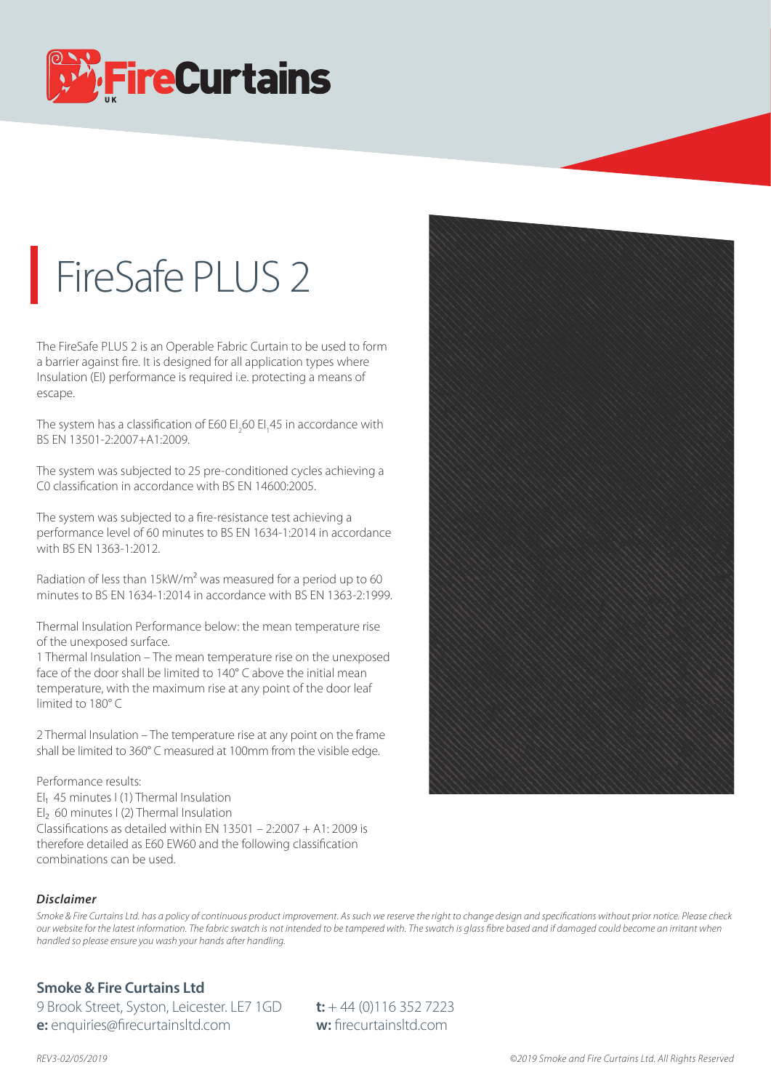

## FireSafe PLUS 2

The FireSafe PLUS 2 is an Operable Fabric Curtain to be used to form a barrier against fire. It is designed for all application types where Insulation (EI) performance is required i.e. protecting a means of escape.

The system has a classification of E60 EI<sub>2</sub>60 EI<sub>1</sub>45 in accordance with BS EN 13501-2:2007+A1:2009.

The system was subjected to 25 pre-conditioned cycles achieving a C0 classification in accordance with BS EN 14600:2005.

The system was subjected to a fire-resistance test achieving a performance level of 60 minutes to BS EN 1634-1:2014 in accordance with BS EN 1363-1:2012.

Radiation of less than 15kW/m<sup>2</sup> was measured for a period up to 60 minutes to BS EN 1634-1:2014 in accordance with BS EN 1363-2:1999.

Thermal Insulation Performance below: the mean temperature rise of the unexposed surface.

1 Thermal Insulation – The mean temperature rise on the unexposed face of the door shall be limited to 140° C above the initial mean temperature, with the maximum rise at any point of the door leaf limited to 180° C

2 Thermal Insulation – The temperature rise at any point on the frame shall be limited to 360° C measured at 100mm from the visible edge.

## Performance results:

EI<sub>1</sub> 45 minutes I (1) Thermal Insulation EI<sub>2</sub> 60 minutes I (2) Thermal Insulation Classifications as detailed within EN 13501 – 2:2007 + A1: 2009 is therefore detailed as E60 EW60 and the following classification combinations can be used.



Smoke & Fire Curtains Ltd. has a policy of continuous product improvement. As such we reserve the right to change design and specifications without prior notice. Please check *our website for the latest information. The fabric swatch is not intended to be tampered with. The swatch is glass bre based and if damaged could become an irritant when handled so please ensure you wash your hands after handling.*

## **Smoke & Fire Curtains Ltd**

9 Brook Street, Syston, Leicester. LE7 1GD **t:** + 44 (0)116 352 7223 **e:** enquiries@firecurtainsltd.com **w:** firecurtainsltd.com